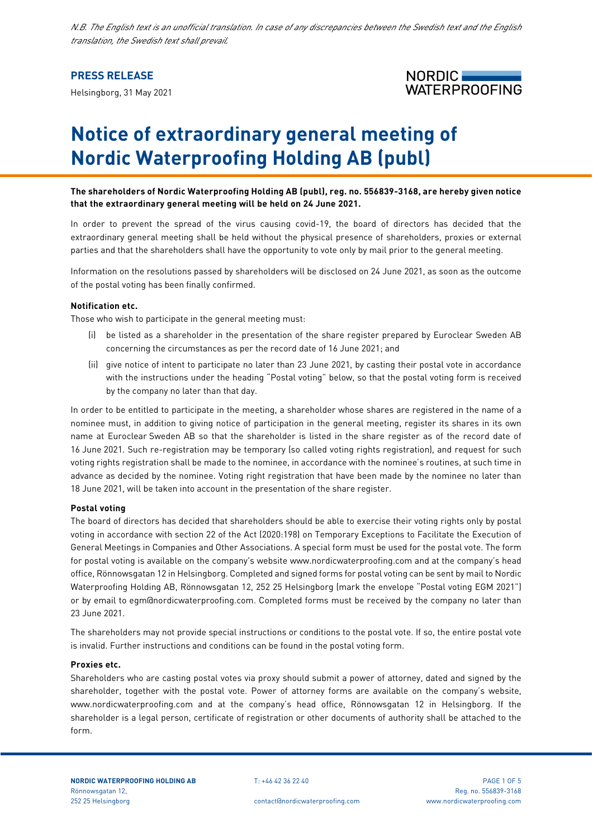*N.B. The English text is an unofficial translation. In case of any discrepancies between the Swedish text and the English translation, the Swedish text shall prevail.*

# **PRESS RELEASE**

Helsingborg, 31 May 2021



# **Notice of extraordinary general meeting of Nordic Waterproofing Holding AB (publ)**

**The shareholders of Nordic Waterproofing Holding AB (publ), reg. no. 556839-3168, are hereby given notice that the extraordinary general meeting will be held on 24 June 2021.**

In order to prevent the spread of the virus causing covid-19, the board of directors has decided that the extraordinary general meeting shall be held without the physical presence of shareholders, proxies or external parties and that the shareholders shall have the opportunity to vote only by mail prior to the general meeting.

Information on the resolutions passed by shareholders will be disclosed on 24 June 2021, as soon as the outcome of the postal voting has been finally confirmed.

### **Notification etc.**

Those who wish to participate in the general meeting must:

- (i) be listed as a shareholder in the presentation of the share register prepared by Euroclear Sweden AB concerning the circumstances as per the record date of 16 June 2021; and
- (ii) give notice of intent to participate no later than 23 June 2021, by casting their postal vote in accordance with the instructions under the heading "Postal voting" below, so that the postal voting form is received by the company no later than that day.

In order to be entitled to participate in the meeting, a shareholder whose shares are registered in the name of a nominee must, in addition to giving notice of participation in the general meeting, register its shares in its own name at Euroclear Sweden AB so that the shareholder is listed in the share register as of the record date of 16 June 2021. Such re-registration may be temporary (so called voting rights registration), and request for such voting rights registration shall be made to the nominee, in accordance with the nominee's routines, at such time in advance as decided by the nominee. Voting right registration that have been made by the nominee no later than 18 June 2021, will be taken into account in the presentation of the share register.

## **Postal voting**

The board of directors has decided that shareholders should be able to exercise their voting rights only by postal voting in accordance with section 22 of the Act (2020:198) on Temporary Exceptions to Facilitate the Execution of General Meetings in Companies and Other Associations. A special form must be used for the postal vote. The form for postal voting is available on the company's website www.nordicwaterproofing.com and at the company's head office, Rönnowsgatan 12 in Helsingborg. Completed and signed forms for postal voting can be sent by mail to Nordic Waterproofing Holding AB, Rönnowsgatan 12, 252 25 Helsingborg (mark the envelope "Postal voting EGM 2021") or by email to egm@nordicwaterproofing.com. Completed forms must be received by the company no later than 23 June 2021.

The shareholders may not provide special instructions or conditions to the postal vote. If so, the entire postal vote is invalid. Further instructions and conditions can be found in the postal voting form.

### **Proxies etc.**

Shareholders who are casting postal votes via proxy should submit a power of attorney, dated and signed by the shareholder, together with the postal vote. Power of attorney forms are available on the company's website, www.nordicwaterproofing.com and at the company's head office, Rönnowsgatan 12 in Helsingborg. If the shareholder is a legal person, certificate of registration or other documents of authority shall be attached to the form.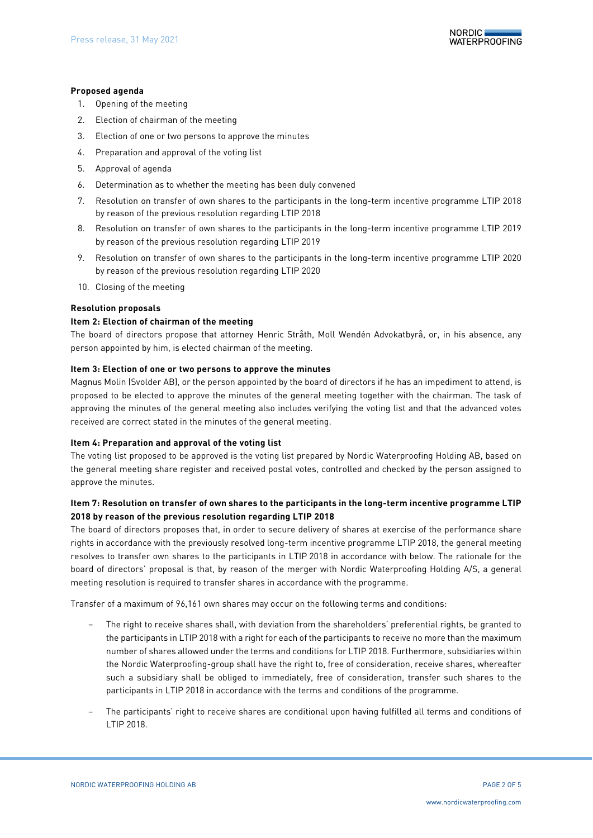## **Proposed agenda**

- 1. Opening of the meeting
- 2. Election of chairman of the meeting
- 3. Election of one or two persons to approve the minutes
- 4. Preparation and approval of the voting list
- 5. Approval of agenda
- 6. Determination as to whether the meeting has been duly convened
- <span id="page-1-0"></span>7. Resolution on transfer of own shares to the participants in the long-term incentive programme LTIP 2018 by reason of the previous resolution regarding LTIP 2018
- <span id="page-1-1"></span>8. Resolution on transfer of own shares to the participants in the long-term incentive programme LTIP 2019 by reason of the previous resolution regarding LTIP 2019
- <span id="page-1-2"></span>9. Resolution on transfer of own shares to the participants in the long-term incentive programme LTIP 2020 by reason of the previous resolution regarding LTIP 2020
- 10. Closing of the meeting

## **Resolution proposals**

## **Item 2: Election of chairman of the meeting**

The board of directors propose that attorney Henric Stråth, Moll Wendén Advokatbyrå, or, in his absence, any person appointed by him, is elected chairman of the meeting.

## **Item 3: Election of one or two persons to approve the minutes**

Magnus Molin (Svolder AB), or the person appointed by the board of directors if he has an impediment to attend, is proposed to be elected to approve the minutes of the general meeting together with the chairman. The task of approving the minutes of the general meeting also includes verifying the voting list and that the advanced votes received are correct stated in the minutes of the general meeting.

## **Item 4: Preparation and approval of the voting list**

The voting list proposed to be approved is the voting list prepared by Nordic Waterproofing Holding AB, based on the general meeting share register and received postal votes, controlled and checked by the person assigned to approve the minutes.

# **Item [7:](#page-1-0) Resolution on transfer of own shares to the participants in the long-term incentive programme LTIP 2018 by reason of the previous resolution regarding LTIP 2018**

The board of directors proposes that, in order to secure delivery of shares at exercise of the performance share rights in accordance with the previously resolved long-term incentive programme LTIP 2018, the general meeting resolves to transfer own shares to the participants in LTIP 2018 in accordance with below. The rationale for the board of directors' proposal is that, by reason of the merger with Nordic Waterproofing Holding A/S, a general meeting resolution is required to transfer shares in accordance with the programme.

Transfer of a maximum of 96,161 own shares may occur on the following terms and conditions:

- The right to receive shares shall, with deviation from the shareholders' preferential rights, be granted to the participants in LTIP 2018 with a right for each of the participants to receive no more than the maximum number of shares allowed under the terms and conditions for LTIP 2018. Furthermore, subsidiaries within the Nordic Waterproofing-group shall have the right to, free of consideration, receive shares, whereafter such a subsidiary shall be obliged to immediately, free of consideration, transfer such shares to the participants in LTIP 2018 in accordance with the terms and conditions of the programme.
- The participants' right to receive shares are conditional upon having fulfilled all terms and conditions of LTIP 2018.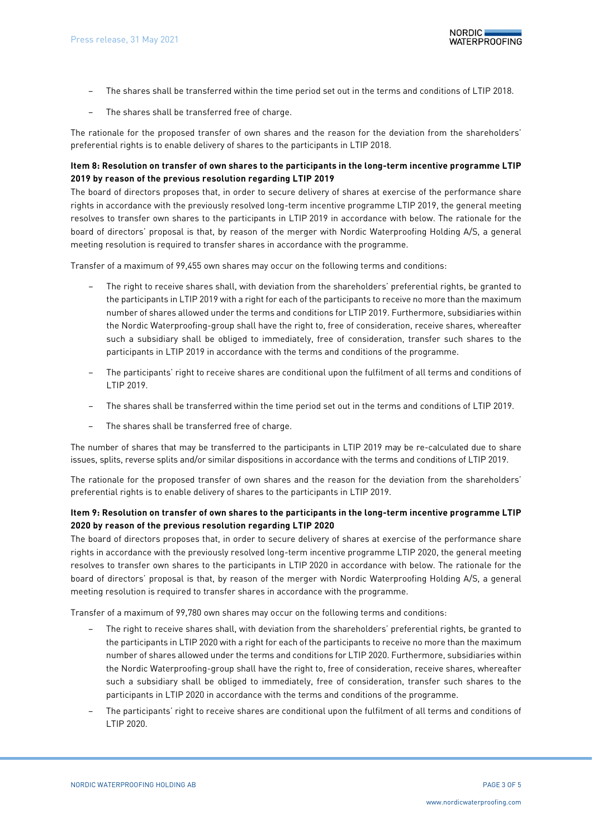- The shares shall be transferred within the time period set out in the terms and conditions of LTIP 2018.
- The shares shall be transferred free of charge.

The rationale for the proposed transfer of own shares and the reason for the deviation from the shareholders' preferential rights is to enable delivery of shares to the participants in LTIP 2018.

# **Item [8:](#page-1-1) Resolution on transfer of own shares to the participants in the long-term incentive programme LTIP 2019 by reason of the previous resolution regarding LTIP 2019**

The board of directors proposes that, in order to secure delivery of shares at exercise of the performance share rights in accordance with the previously resolved long-term incentive programme LTIP 2019, the general meeting resolves to transfer own shares to the participants in LTIP 2019 in accordance with below. The rationale for the board of directors' proposal is that, by reason of the merger with Nordic Waterproofing Holding A/S, a general meeting resolution is required to transfer shares in accordance with the programme.

Transfer of a maximum of 99,455 own shares may occur on the following terms and conditions:

- The right to receive shares shall, with deviation from the shareholders' preferential rights, be granted to the participants in LTIP 2019 with a right for each of the participants to receive no more than the maximum number of shares allowed under the terms and conditions for LTIP 2019. Furthermore, subsidiaries within the Nordic Waterproofing-group shall have the right to, free of consideration, receive shares, whereafter such a subsidiary shall be obliged to immediately, free of consideration, transfer such shares to the participants in LTIP 2019 in accordance with the terms and conditions of the programme.
- The participants' right to receive shares are conditional upon the fulfilment of all terms and conditions of LTIP 2019.
- The shares shall be transferred within the time period set out in the terms and conditions of LTIP 2019.
- The shares shall be transferred free of charge.

The number of shares that may be transferred to the participants in LTIP 2019 may be re-calculated due to share issues, splits, reverse splits and/or similar dispositions in accordance with the terms and conditions of LTIP 2019.

The rationale for the proposed transfer of own shares and the reason for the deviation from the shareholders' preferential rights is to enable delivery of shares to the participants in LTIP 2019.

# **Ite[m 9:](#page-1-2) Resolution on transfer of own shares to the participants in the long-term incentive programme LTIP 2020 by reason of the previous resolution regarding LTIP 2020**

The board of directors proposes that, in order to secure delivery of shares at exercise of the performance share rights in accordance with the previously resolved long-term incentive programme LTIP 2020, the general meeting resolves to transfer own shares to the participants in LTIP 2020 in accordance with below. The rationale for the board of directors' proposal is that, by reason of the merger with Nordic Waterproofing Holding A/S, a general meeting resolution is required to transfer shares in accordance with the programme.

Transfer of a maximum of 99,780 own shares may occur on the following terms and conditions:

- The right to receive shares shall, with deviation from the shareholders' preferential rights, be granted to the participants in LTIP 2020 with a right for each of the participants to receive no more than the maximum number of shares allowed under the terms and conditions for LTIP 2020. Furthermore, subsidiaries within the Nordic Waterproofing-group shall have the right to, free of consideration, receive shares, whereafter such a subsidiary shall be obliged to immediately, free of consideration, transfer such shares to the participants in LTIP 2020 in accordance with the terms and conditions of the programme.
- The participants' right to receive shares are conditional upon the fulfilment of all terms and conditions of LTIP 2020.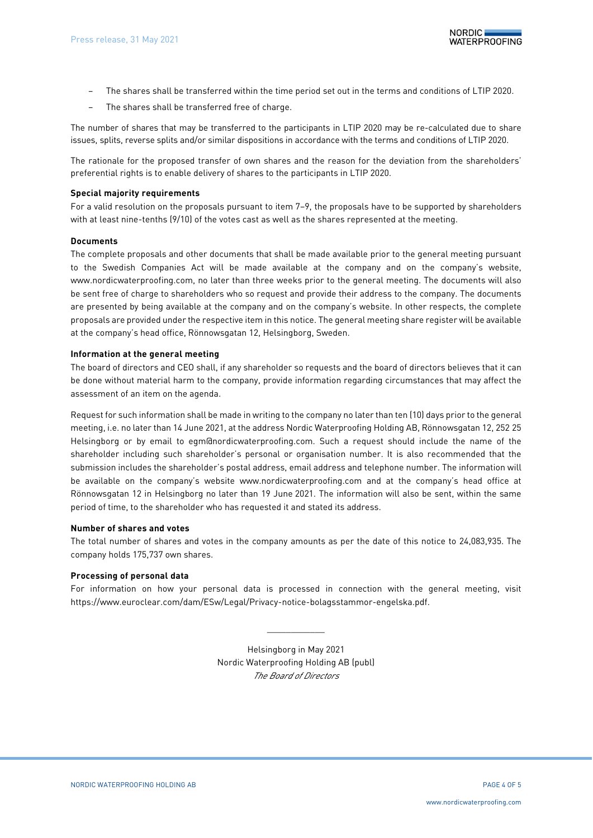- The shares shall be transferred within the time period set out in the terms and conditions of LTIP 2020.
- The shares shall be transferred free of charge.

The number of shares that may be transferred to the participants in LTIP 2020 may be re-calculated due to share issues, splits, reverse splits and/or similar dispositions in accordance with the terms and conditions of LTIP 2020.

The rationale for the proposed transfer of own shares and the reason for the deviation from the shareholders' preferential rights is to enable delivery of shares to the participants in LTIP 2020.

## **Special majority requirements**

For a valid resolution on the proposals pursuant to item [7–](#page-1-0)[9,](#page-1-2) the proposals have to be supported by shareholders with at least nine-tenths (9/10) of the votes cast as well as the shares represented at the meeting.

### **Documents**

The complete proposals and other documents that shall be made available prior to the general meeting pursuant to the Swedish Companies Act will be made available at the company and on the company's website, www.nordicwaterproofing.com, no later than three weeks prior to the general meeting. The documents will also be sent free of charge to shareholders who so request and provide their address to the company. The documents are presented by being available at the company and on the company's website. In other respects, the complete proposals are provided under the respective item in this notice. The general meeting share register will be available at the company's head office, Rönnowsgatan 12, Helsingborg, Sweden.

## **Information at the general meeting**

The board of directors and CEO shall, if any shareholder so requests and the board of directors believes that it can be done without material harm to the company, provide information regarding circumstances that may affect the assessment of an item on the agenda.

Request for such information shall be made in writing to the company no later than ten (10) days prior to the general meeting, i.e. no later than 14 June 2021, at the address Nordic Waterproofing Holding AB, Rönnowsgatan 12, 252 25 Helsingborg or by email to egm@nordicwaterproofing.com. Such a request should include the name of the shareholder including such shareholder's personal or organisation number. It is also recommended that the submission includes the shareholder's postal address, email address and telephone number. The information will be available on the company's website www.nordicwaterproofing.com and at the company's head office at Rönnowsgatan 12 in Helsingborg no later than 19 June 2021. The information will also be sent, within the same period of time, to the shareholder who has requested it and stated its address.

### **Number of shares and votes**

The total number of shares and votes in the company amounts as per the date of this notice to 24,083,935. The company holds 175,737 own shares.

## **Processing of personal data**

For information on how your personal data is processed in connection with the general meeting, visit https://www.euroclear.com/dam/ESw/Legal/Privacy-notice-bolagsstammor-engelska.pdf.

> Helsingborg in May 2021 Nordic Waterproofing Holding AB (publ) *The Board of Directors*

 $\frac{1}{2}$  ,  $\frac{1}{2}$  ,  $\frac{1}{2}$  ,  $\frac{1}{2}$  ,  $\frac{1}{2}$  ,  $\frac{1}{2}$